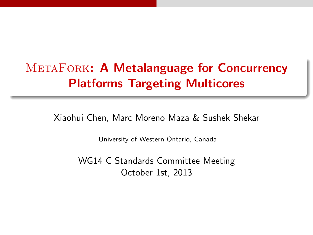# METAFORK: A Metalanguage for Concurrency Platforms Targeting Multicores

Xiaohui Chen, Marc Moreno Maza & Sushek Shekar

University of Western Ontario, Canada

WG14 C Standards Committee Meeting October 1st, 2013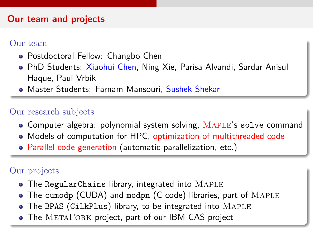#### Our team and projects

#### Our team

- Postdoctoral Fellow: Changbo Chen
- PhD Students: Xiaohui Chen, Ning Xie, Parisa Alvandi, Sardar Anisul Haque, Paul Vrbik
- **Master Students: Farnam Mansouri, Sushek Shekar**

#### Our research subjects

- Computer algebra: polynomial system solving, MAPLE's solve command
- Models of computation for HPC, optimization of multithreaded code
- Parallel code generation (automatic parallelization, etc.)

#### Our projects

- The RegularChains library, integrated into MAPLE
- The cumodp (CUDA) and modpn (C code) libraries, part of MAPLE
- The BPAS (CilkPlus) library, to be integrated into MAPLE
- The METAFORK project, part of our IBM CAS project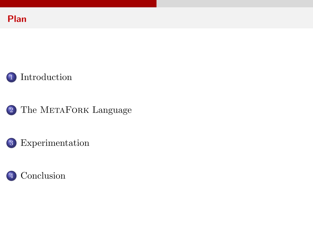



- 2 The METAFORK [Language](#page-7-0)
- 3 [Experimentation](#page-20-0)

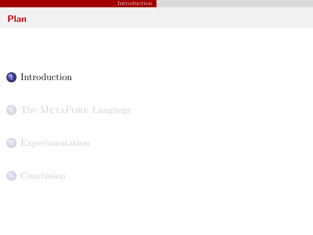### Plan



2 The METAFORK [Language](#page-7-0)

**[Experimentation](#page-20-0)** 

<span id="page-3-0"></span>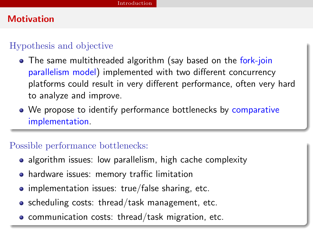### **Motivation**

#### Hypothesis and objective

- The same multithreaded algorithm (say based on the fork-join parallelism model) implemented with two different concurrency platforms could result in very different performance, often very hard to analyze and improve.
- We propose to identify performance bottlenecks by comparative implementation.

### Possible performance bottlenecks:

- algorithm issues: low parallelism, high cache complexity
- hardware issues: memory traffic limitation
- $\bullet$  implementation issues: true/false sharing, etc.
- scheduling costs: thread/task management, etc.
- **•** communication costs: thread/task migration, etc.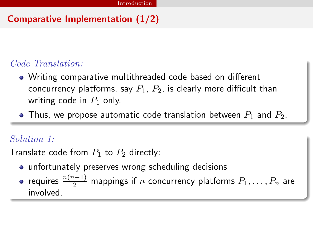# Comparative Implementation (1/2)

## Code Translation:

- Writing comparative multithreaded code based on different concurrency platforms, say  $P_1$ ,  $P_2$ , is clearly more difficult than writing code in  $P_1$  only.
- Thus, we propose automatic code translation between  $P_1$  and  $P_2$ .

#### Solution 1:

Translate code from  $P_1$  to  $P_2$  directly:

- **•** unfortunately preserves wrong scheduling decisions
- requires  $\frac{n(n-1)}{2}$  mappings if  $n$  concurrency platforms  $P_1,\ldots, P_n$  are involved.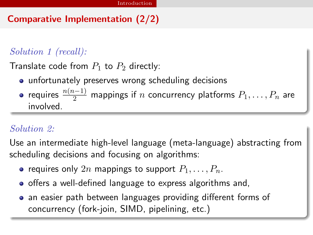# Comparative Implementation (2/2)

# Solution 1 (recall):

Translate code from  $P_1$  to  $P_2$  directly:

- unfortunately preserves wrong scheduling decisions
- requires  $\frac{n(n-1)}{2}$  mappings if  $n$  concurrency platforms  $P_1,\ldots, P_n$  are involved.

### Solution 2:

Use an intermediate high-level language (meta-language) abstracting from scheduling decisions and focusing on algorithms:

- requires only 2n mappings to support  $P_1, \ldots, P_n$ .
- offers a well-defined language to express algorithms and,
- an easier path between languages providing different forms of concurrency (fork-join, SIMD, pipelining, etc.)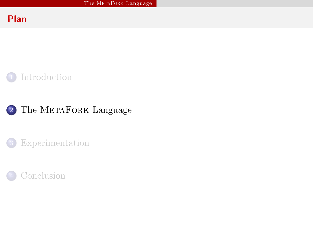### Plan



2 The METAFORK [Language](#page-7-0)

**[Experimentation](#page-20-0)** 

<span id="page-7-0"></span>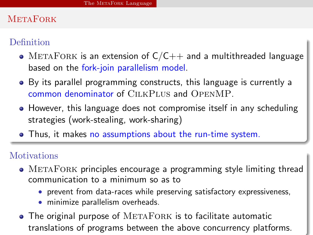#### **METAFORK**

### Definition

- METAFORK is an extension of  $C/C++$  and a multithreaded language based on the fork-join parallelism model.
- By its parallel programming constructs, this language is currently a common denominator of CilkPlus and OpenMP.
- However, this language does not compromise itself in any scheduling strategies (work-stealing, work-sharing)
- Thus, it makes no assumptions about the run-time system.

#### **Motivations**

- METAFORK principles encourage a programming style limiting thread communication to a minimum so as to
	- prevent from data-races while preserving satisfactory expressiveness,
	- minimize parallelism overheads.
- $\bullet$  The original purpose of  $METAFORK$  is to facilitate automatic translations of programs between the above concurrency platforms.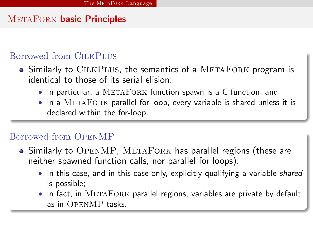### METAFORK basic Principles

#### Borrowed from CILKPLUS

- Similarly to CILKPLUS, the semantics of a METAFORK program is identical to those of its serial elision.
	- in particular, a METAFORK function spawn is a C function, and
	- $\bullet$  in a METAFORK parallel for-loop, every variable is shared unless it is declared within the for-loop.

#### Borrowed from OpenMP

- Similarly to OPENMP, METAFORK has parallel regions (these are neither spawned function calls, nor parallel for loops):
	- in this case, and in this case only, explicitly qualifying a variable *shared* is possible;
	- in fact, in METAFORK parallel regions, variables are private by default as in OpenMP tasks.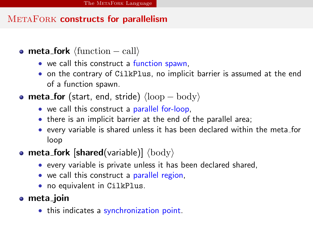## METAFORK constructs for parallelism

- meta\_fork  $\langle$  function call $\rangle$ 
	- we call this construct a function spawn,
	- on the contrary of CilkPlus, no implicit barrier is assumed at the end of a function spawn.
- meta\_for (start, end, stride)  $\langle \text{loop} \text{body} \rangle$ 
	- we call this construct a parallel for-loop,
	- there is an implicit barrier at the end of the parallel area;
	- every variable is shared unless it has been declared within the meta for loop

# • meta\_fork [shared(variable)]  $\langle \text{body} \rangle$

- every variable is private unless it has been declared shared,
- we call this construct a parallel region,
- no equivalent in CilkPlus.
- meta\_join
	- this indicates a synchronization point.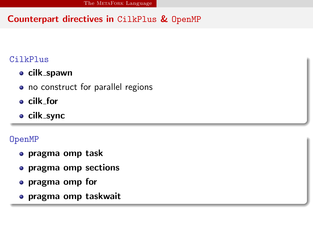# Counterpart directives in CilkPlus & OpenMP

#### CilkPlus

- **•** cilk\_spawn
- no construct for parallel regions
- cilk for
- cilk sync

#### OpenMP

- pragma omp task
- **•** pragma omp sections
- pragma omp for
- pragma omp taskwait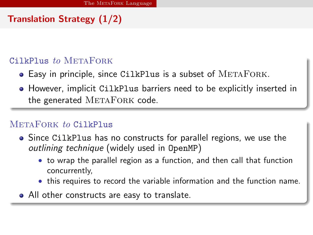# Translation Strategy (1/2)

#### $C<sub>i</sub>1kP1us to METAFOR$

- Easy in principle, since CilkPlus is a subset of METAFORK.
- However, implicit CilkPlus barriers need to be explicitly inserted in the generated METAFORK code.

#### METAFORK to CilkPlus

- Since CilkPlus has no constructs for parallel regions, we use the outlining technique (widely used in OpenMP)
	- to wrap the parallel region as a function, and then call that function concurrently,
	- this requires to record the variable information and the function name.
- All other constructs are easy to translate.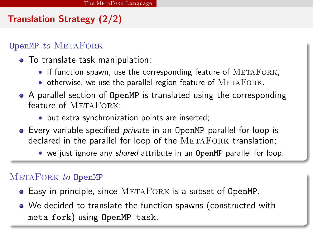# Translation Strategy (2/2)

#### OpenMP to METAFORK

- To translate task manipulation:
	- $\bullet$  if function spawn, use the corresponding feature of  $METAFORK$ ,
	- $\bullet$  otherwise, we use the parallel region feature of  $METAFORK$ .
- A parallel section of OpenMP is translated using the corresponding feature of METAFORK:
	- but extra synchronization points are inserted;
- Every variable specified *private* in an OpenMP parallel for loop is  $\alpha$  declared in the parallel for loop of the METAFORK translation;
	- we just ignore any *shared* attribute in an OpenMP parallel for loop.

#### METAFORK to OpenMP

- Easy in principle, since METAFORK is a subset of OpenMP.
- We decided to translate the function spawns (constructed with meta fork) using OpenMP task.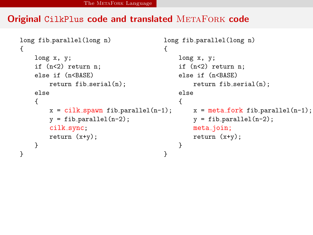#### Original CilkPlus code and translated METAFORK code

```
long fib parallel(long n)
{
    long x, y;
    if (n<2) return n;
    else if (n<BASE)
        return fib_serial(n);
    else
    {
        x = cilk_spawn fib-parallel(n-1);y = fib\_parallel(n-2);
        cilk sync;
        return (x+y);
    }
}
                                        {
                                         }
```

```
long fib_parallel(long n)
    long x, y;
    if (n<2) return n;
    else if (n<BASE)
        return fib_serial(n);
    else
    {
        x = meta_fork fib_parallel(n-1);y = fib\_parallel(n-2);
        meta_join;
        return (x+y);
    }
```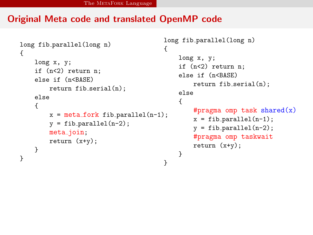#### Original Meta code and translated OpenMP code

```
long fib parallel(long n)
{
    long x, y;
    if (n<2) return n;
    else if (n<BASE)
        return fib_serial(n);
    else
    {
        x = meta_fork fib-parallel(n-1);y = fib\_parallel(n-2);
        meta_join;
        return (x+y);
    }
}
                                         {
                                         }
```

```
long fib parallel(long n)
   long x, y;
    if (n<2) return n;
   else if (n<BASE)
        return fib_serial(n);
    else
    {
        #pragma omp task shared(x)x = fib\_parallel(n-1);y = fib-parallel(n-2);#pragma omp taskwait
        return (x+y);
   }
```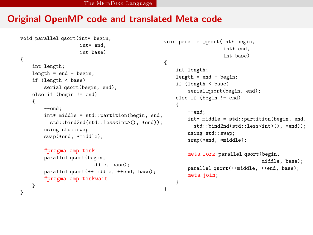#### Original OpenMP code and translated Meta code

```
void parallel qsort(int* begin,
                    int* end,
                    int base)
{
    int length;
    length = end - begin;if (length < base)
        serial_qsort(begin, end);
    else if (begin != end)
    {
        --end;
        int* middle = std::partition(begin, end,
          std::bind2nd(std::less<int>(), *end));
        using std::swap;
        swap(*end, *middle);
        #pragma omp task
        parallel_qsort(begin,
                       middle, base);
```
#pragma omp taskwait

} }

parallel qsort(++middle, ++end, base);

```
{
    --end;
    int* middle = std::partition(begin, end,
      std::bind2nd(std::less<int>(), *end));
    using std::swap;
    swap(*end, *middle);
   meta fork parallel qsort(begin,
```
int length;  $length = end - begin;$ if (length < base)

void parallel qsort(int\* begin,

else if (begin != end)

int\* end, int base)

serial\_gsort(begin, end);

middle, base); parallel qsort(++middle, ++end, base); meta\_join;

```
}
```
}

{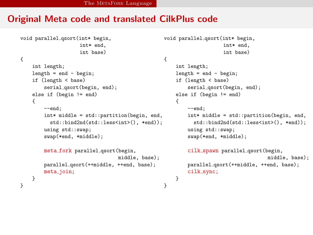#### Original Meta code and translated CilkPlus code

```
void parallel qsort(int* begin,
                    int* end,
                    int base)
{
    int length;
    length = end - begin;if (length < base)
        serial_qsort(begin, end);
    else if (begin != end)
    {
        --end;
        int* middle = std::partition(begin, end,
          std::bind2nd(std::less<int>(), *end));
        using std::swap;
        swap(*end, *middle);
        meta_fork parallel_qsort(begin,
                                  middle, base);
        parallel qsort(++middle, ++end, base);
        meta_join;
    }
}
```

```
void parallel qsort(int* begin,
                    int* end,
                    int base)
{
    int length;
    length = end - begin;if (length < base)
        serial_qsort(begin, end);
    else if (begin 1 = end){
        --end;
        int* middle = std::partition(begin, end,
          std::bind2nd(std::less<int>(), *end));
        using std::swap;
        swap(*end, *middle);
        cilk spawn parallel gsort(begin,
                                   middle, base);
        parallel qsort(++middle, ++end, base);
        cilk_sync;
```

```
}
```
}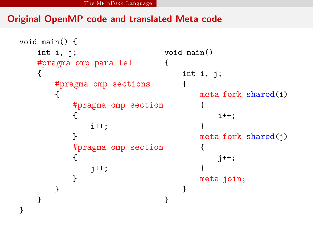### Original OpenMP code and translated Meta code

```
void main() {
    int i, j;
    #pragma omp parallel
    {
        #pragma omp sections
        {
            #pragma omp section
            {
                i++;
            }
            #pragma omp section
            {
                j++;
            }
        }
    }
}
                                  void main()
                                  {
                                      int i, j;
                                      {
                                          meta fork shared(i)
                                           {
                                               i++;
                                           }
                                          meta_fork shared(i){
                                               j++;
                                           }
                                          meta_join;
                                      }
                                  }
```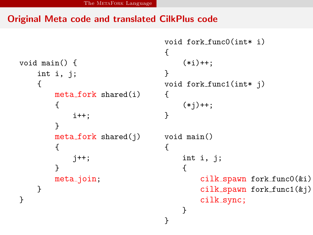#### Original Meta code and translated CilkPlus code

```
void main() {
    int i, j;
    {
        meta fork shared(i)
        {
             i++;
        }
        meta_fork shared(i){
             j++;
        }
        meta_join;
    }
}
                                   {
                                        (*i)++:}
                                   void fork func1(int* j)
                                   {
                                        (*j)++;}
                                   void main()
                                   {
                                        int i, j;
                                        {
                                            cilk spawn fork func0(&i);
                                            cilk spawn fork func1(&j);
                                            cilk_sync;
                                        }
                                   }
```
void fork func0(int\* i)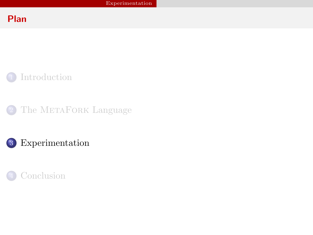### Plan



2 The METAFORK [Language](#page-7-0)



<span id="page-20-0"></span>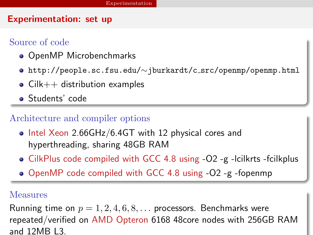#### Experimentation: set up

### Source of code

- OpenMP Microbenchmarks
- http://people.sc.fsu.edu/∼jburkardt/c src/openmp/openmp.html
- $\bullet$  Cilk $++$  distribution examples
- Students' code

# Architecture and compiler options

- Intel Xeon 2.66GHz/6.4GT with 12 physical cores and hyperthreading, sharing 48GB RAM
- $\bullet$  CilkPlus code compiled with GCC 4.8 using  $-O2$  -g -lcilkrts -fcilkplus
- OpenMP code compiled with GCC 4.8 using -O2 -g -fopenmp

#### Measures

Running time on  $p = 1, 2, 4, 6, 8, \ldots$  processors. Benchmarks were repeated/verified on AMD Opteron 6168 48core nodes with 256GB RAM and 12MB L3.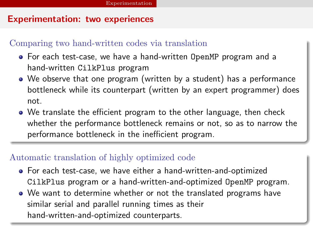#### Experimentation: two experiences

#### Comparing two hand-written codes via translation

- For each test-case, we have a hand-written OpenMP program and a hand-written CilkPlus program
- We observe that one program (written by a student) has a performance bottleneck while its counterpart (written by an expert programmer) does not.
- We translate the efficient program to the other language, then check whether the performance bottleneck remains or not, so as to narrow the performance bottleneck in the inefficient program.

#### Automatic translation of highly optimized code

- For each test-case, we have either a hand-written-and-optimized CilkPlus program or a hand-written-and-optimized OpenMP program.
- We want to determine whether or not the translated programs have similar serial and parallel running times as their hand-written-and-optimized counterparts.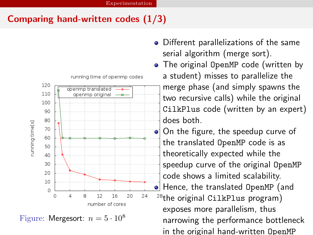# Comparing hand-written codes (1/3)



Figure: Mergesort:  $n = 5 \cdot 10^8$ 

- Different parallelizations of the same serial algorithm (merge sort).
- The original OpenMP code (written by a student) misses to parallelize the merge phase (and simply spawns the two recursive calls) while the original CilkPlus code (written by an expert) does both.

On the figure, the speedup curve of the translated OpenMP code is as theoretically expected while the speedup curve of the original OpenMP code shows a limited scalability. o Hence, the translated OpenMP (and  $28$ the original CilkPlus program) exposes more parallelism, thus narrowing the performance bottleneck in the original hand-written OpenMP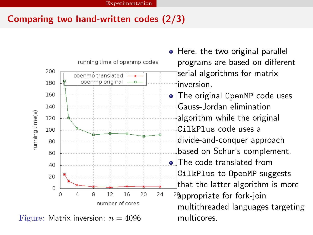# Comparing two hand-written codes (2/3)

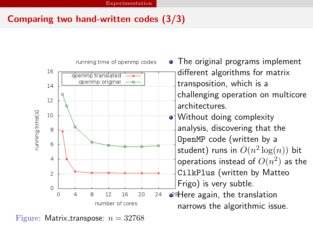# Comparing two hand-written codes (3/3)



Figure: Matrix\_transpose:  $n = 32768$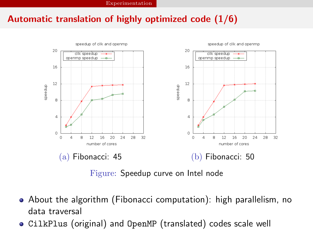### Automatic translation of highly optimized code (1/6)



Figure: Speedup curve on Intel node

- About the algorithm (Fibonacci computation): high parallelism, no data traversal
- CilkPlus (original) and OpenMP (translated) codes scale well $\bullet$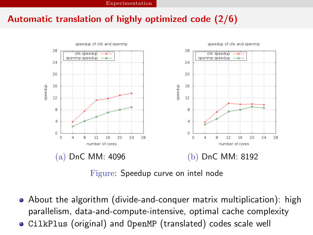### Automatic translation of highly optimized code (2/6)



Figure: Speedup curve on intel node

- About the algorithm (divide-and-conquer matrix multiplication): high parallelism, data-and-compute-intensive, optimal cache complexity
- CilkPlus (original) and OpenMP (translated) codes scale well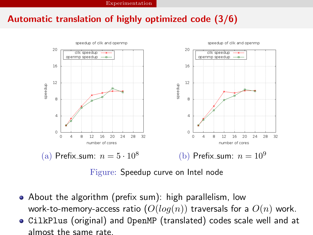### Automatic translation of highly optimized code (3/6)



Figure: Speedup curve on Intel node

- About the algorithm (prefix sum): high parallelism, low work-to-memory-access ratio  $(O(log(n))$  traversals for a  $O(n)$  work.
- CilkPlus (original) and OpenMP (translated) codes scale well and at almost the same rate.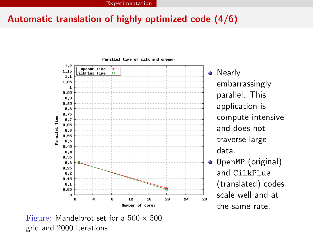### Automatic translation of highly optimized code (4/6)



• Nearly embarrassingly parallel. This application is compute-intensive and does not traverse large data.

**·** OpenMP (original) and CilkPlus (translated) codes scale well and at the same rate.

Figure: Mandelbrot set for a  $500 \times 500$ grid and 2000 iterations.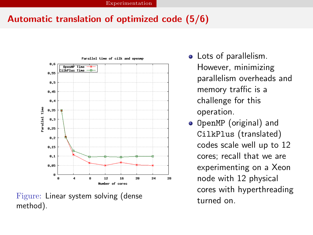# Automatic translation of optimized code (5/6)



Figure: Linear system solving (dense method).

- Lots of parallelism. However, minimizing parallelism overheads and memory traffic is a challenge for this operation.
- **•** OpenMP (original) and CilkPlus (translated) codes scale well up to 12 cores; recall that we are experimenting on a Xeon node with 12 physical cores with hyperthreading turned on.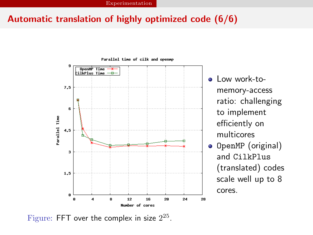### Automatic translation of highly optimized code (6/6)



- o Low work-tomemory-access ratio: challenging to implement efficiently on multicores
- **•** OpenMP (original) and CilkPlus (translated) codes scale well up to 8 cores.

Figure: FFT over the complex in size  $2^{25}$ .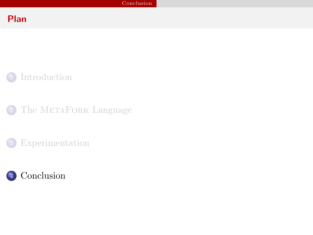### Plan



2 The METAFORK [Language](#page-7-0)

**[Experimentation](#page-20-0)** 

<span id="page-32-0"></span>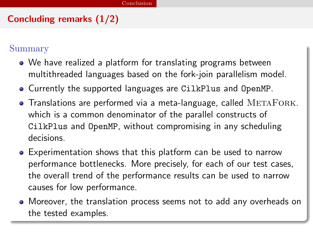# Concluding remarks (1/2)

#### Summary

- We have realized a platform for translating programs between multithreaded languages based on the fork-join parallelism model.
- Currently the supported languages are CilkPlus and OpenMP.
- $\bullet$  Translations are performed via a meta-language, called  $METAFORK$ . which is a common denominator of the parallel constructs of CilkPlus and OpenMP, without compromising in any scheduling decisions.
- Experimentation shows that this platform can be used to narrow performance bottlenecks. More precisely, for each of our test cases, the overall trend of the performance results can be used to narrow causes for low performance.
- Moreover, the translation process seems not to add any overheads on the tested examples.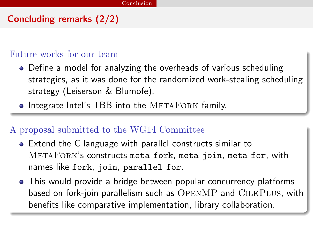# Concluding remarks (2/2)

#### Future works for our team

- Define a model for analyzing the overheads of various scheduling strategies, as it was done for the randomized work-stealing scheduling strategy (Leiserson & Blumofe).
- Integrate Intel's TBB into the METAFORK family.

#### A proposal submitted to the WG14 Committee

- Extend the C language with parallel constructs similar to METAFORK's constructs meta\_fork, meta\_join, meta\_for, with names like fork, join, parallel\_for.
- This would provide a bridge between popular concurrency platforms based on fork-join parallelism such as  $OPENMP$  and  $ClLKPLUS$ , with benefits like comparative implementation, library collaboration.